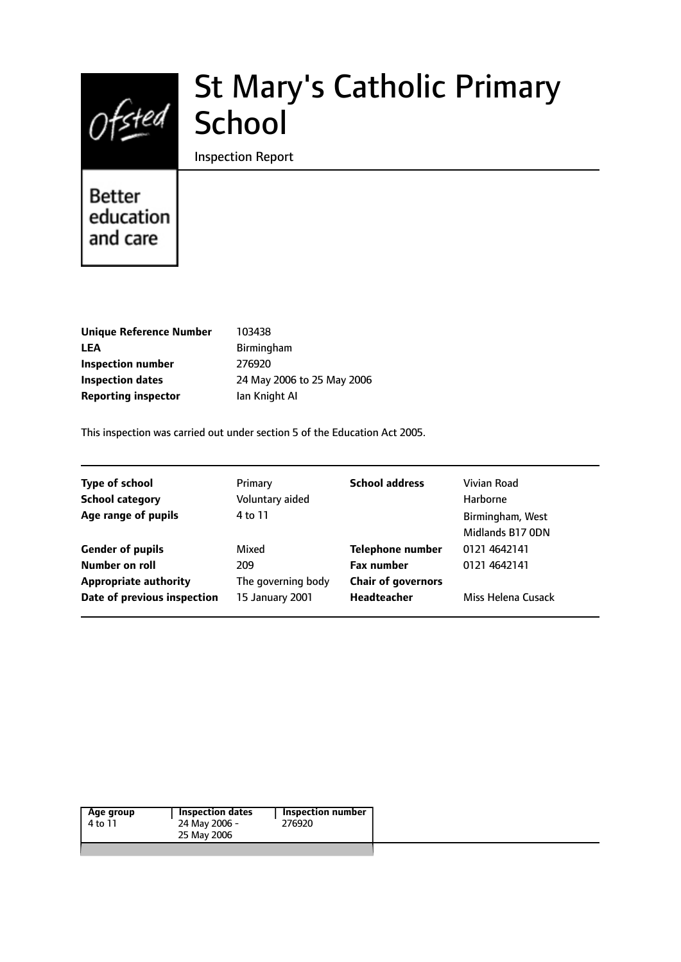

# St Mary's Catholic Primary School

Inspection Report

# **Better** education and care

| <b>Unique Reference Number</b> |   |
|--------------------------------|---|
| LEA                            | F |
| Inspection number              | 2 |
| Inspection dates               | 2 |
| <b>Reporting inspector</b>     | L |

**Unique Reference Number** 103438 **LEA** Birmingham **Inspection number** 276920 **Inspection dates** 24 May 2006 to 25 May 2006 **an Knight AI** 

This inspection was carried out under section 5 of the Education Act 2005.

| <b>Type of school</b>                          | Primary                   | <b>School address</b>                          | Vivian Road                          |
|------------------------------------------------|---------------------------|------------------------------------------------|--------------------------------------|
| <b>School category</b>                         | Voluntary aided           |                                                | Harborne                             |
| Age range of pupils                            | 4 to 11                   |                                                | Birmingham, West<br>Midlands B17 ODN |
| <b>Gender of pupils</b>                        | Mixed                     | <b>Telephone number</b>                        | 0121 4642141                         |
| Number on roll<br><b>Appropriate authority</b> | 209<br>The governing body | <b>Fax number</b><br><b>Chair of governors</b> | 0121 4642141                         |
| Date of previous inspection                    | 15 January 2001           | <b>Headteacher</b>                             | Miss Helena Cusack                   |

|  | Age group<br>4 to 11 | <b>Inspection dates</b><br>24 May 2006 -<br>25 May 2006 | <b>Inspection number</b><br>276920 |
|--|----------------------|---------------------------------------------------------|------------------------------------|
|--|----------------------|---------------------------------------------------------|------------------------------------|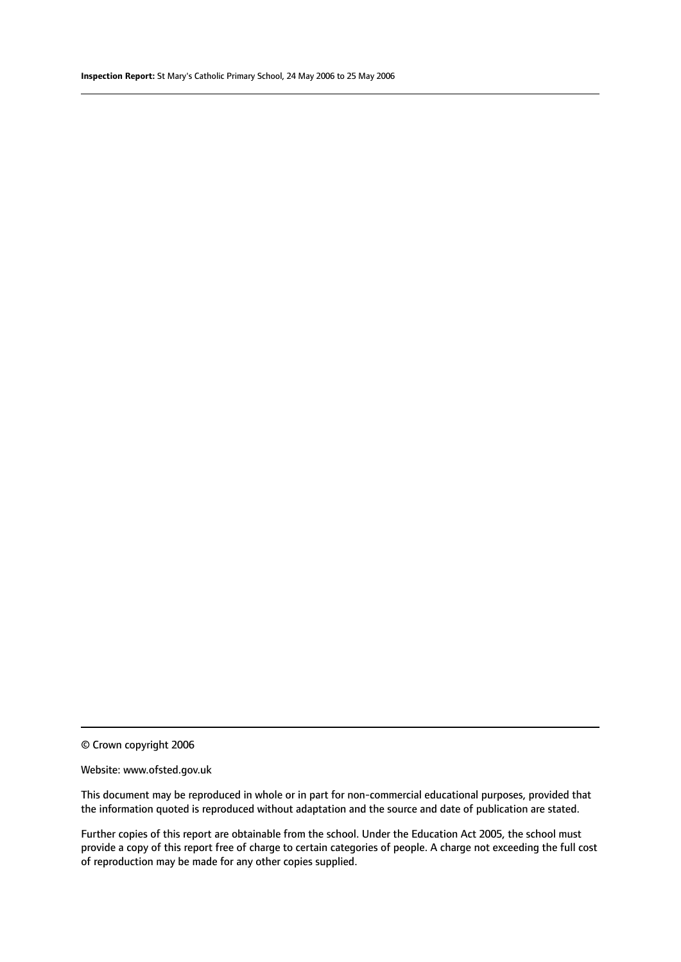© Crown copyright 2006

#### Website: www.ofsted.gov.uk

This document may be reproduced in whole or in part for non-commercial educational purposes, provided that the information quoted is reproduced without adaptation and the source and date of publication are stated.

Further copies of this report are obtainable from the school. Under the Education Act 2005, the school must provide a copy of this report free of charge to certain categories of people. A charge not exceeding the full cost of reproduction may be made for any other copies supplied.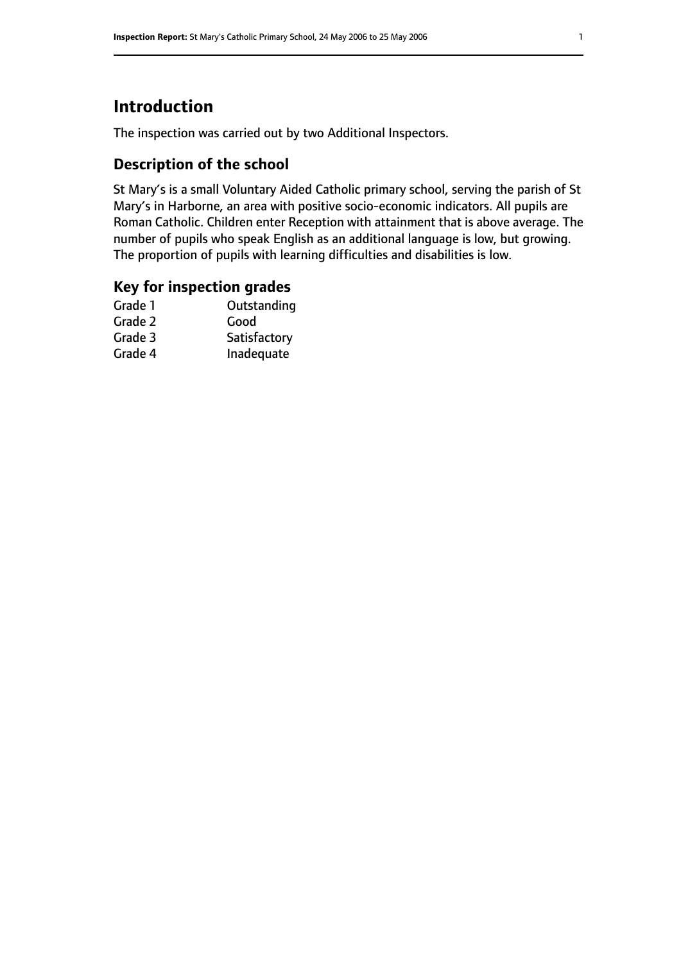# **Introduction**

The inspection was carried out by two Additional Inspectors.

# **Description of the school**

St Mary's is a small Voluntary Aided Catholic primary school, serving the parish of St Mary's in Harborne, an area with positive socio-economic indicators. All pupils are Roman Catholic. Children enter Reception with attainment that is above average. The number of pupils who speak English as an additional language is low, but growing. The proportion of pupils with learning difficulties and disabilities is low.

## **Key for inspection grades**

| Good         |
|--------------|
|              |
| Satisfactory |
| Inadequate   |
|              |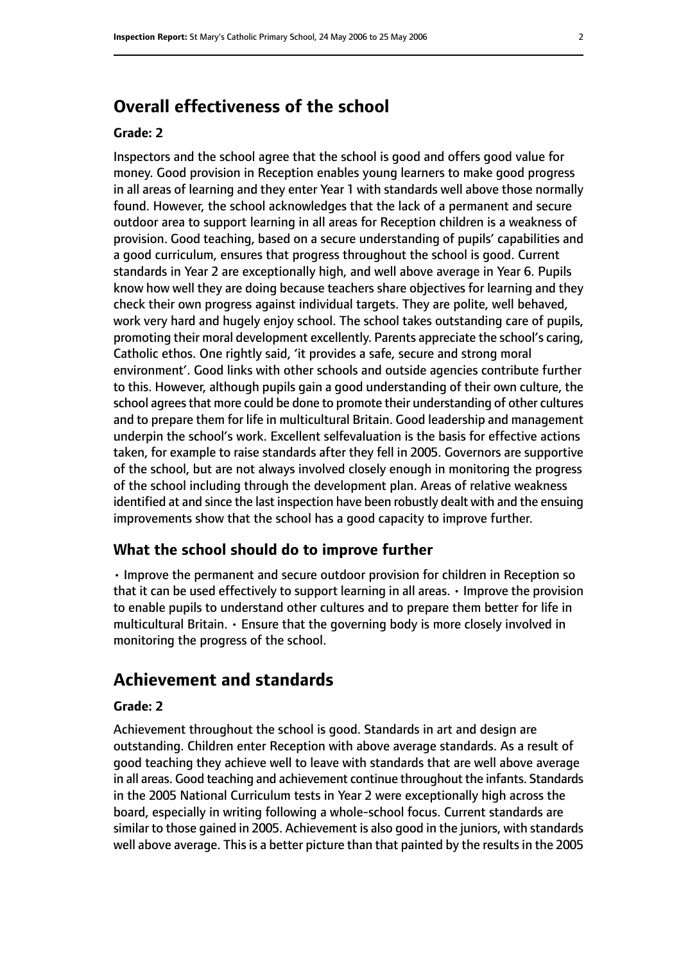# **Overall effectiveness of the school**

#### **Grade: 2**

Inspectors and the school agree that the school is good and offers good value for money. Good provision in Reception enables young learners to make good progress in all areas of learning and they enter Year 1 with standards well above those normally found. However, the school acknowledges that the lack of a permanent and secure outdoor area to support learning in all areas for Reception children is a weakness of provision. Good teaching, based on a secure understanding of pupils' capabilities and a good curriculum, ensures that progress throughout the school is good. Current standards in Year 2 are exceptionally high, and well above average in Year 6. Pupils know how well they are doing because teachers share objectives for learning and they check their own progress against individual targets. They are polite, well behaved, work very hard and hugely enjoy school. The school takes outstanding care of pupils, promoting their moral development excellently. Parents appreciate the school's caring, Catholic ethos. One rightly said, 'it provides a safe, secure and strong moral environment'. Good links with other schools and outside agencies contribute further to this. However, although pupils gain a good understanding of their own culture, the school agrees that more could be done to promote their understanding of other cultures and to prepare them for life in multicultural Britain. Good leadership and management underpin the school's work. Excellent selfevaluation is the basis for effective actions taken, for example to raise standards after they fell in 2005. Governors are supportive of the school, but are not always involved closely enough in monitoring the progress of the school including through the development plan. Areas of relative weakness identified at and since the last inspection have been robustly dealt with and the ensuing improvements show that the school has a good capacity to improve further.

#### **What the school should do to improve further**

• Improve the permanent and secure outdoor provision for children in Reception so that it can be used effectively to support learning in all areas. • Improve the provision to enable pupils to understand other cultures and to prepare them better for life in multicultural Britain. • Ensure that the governing body is more closely involved in monitoring the progress of the school.

# **Achievement and standards**

#### **Grade: 2**

Achievement throughout the school is good. Standards in art and design are outstanding. Children enter Reception with above average standards. As a result of good teaching they achieve well to leave with standards that are well above average in all areas. Good teaching and achievement continue throughout the infants. Standards in the 2005 National Curriculum tests in Year 2 were exceptionally high across the board, especially in writing following a whole-school focus. Current standards are similar to those gained in 2005. Achievement is also good in the juniors, with standards well above average. This is a better picture than that painted by the results in the 2005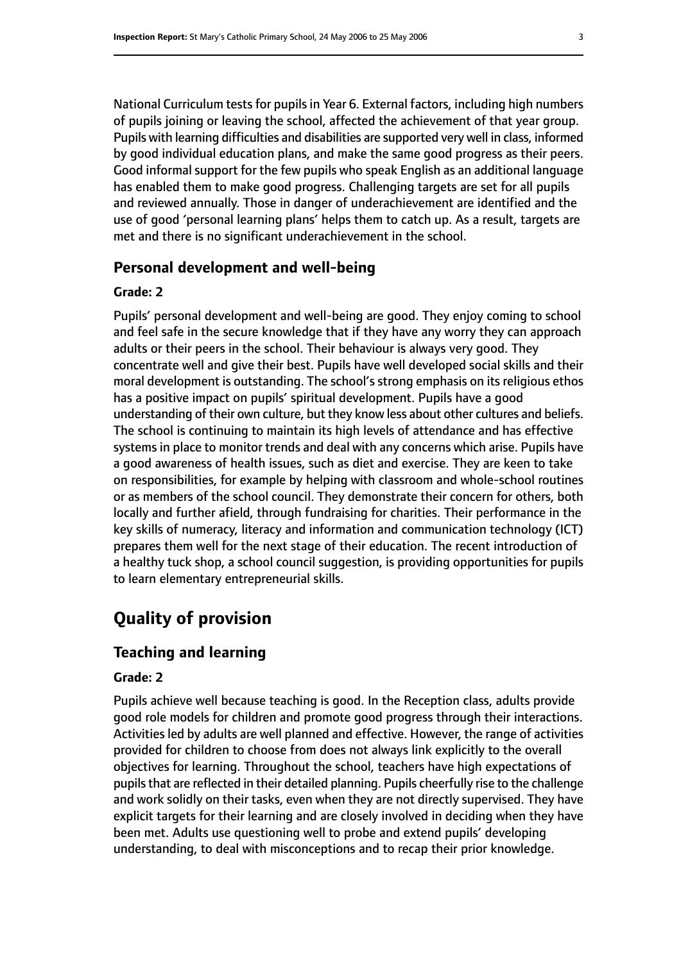National Curriculum tests for pupils in Year 6. External factors, including high numbers of pupils joining or leaving the school, affected the achievement of that year group. Pupils with learning difficulties and disabilities are supported very well in class, informed by good individual education plans, and make the same good progress as their peers. Good informal support for the few pupils who speak English as an additional language has enabled them to make good progress. Challenging targets are set for all pupils and reviewed annually. Those in danger of underachievement are identified and the use of good 'personal learning plans' helps them to catch up. As a result, targets are met and there is no significant underachievement in the school.

## **Personal development and well-being**

### **Grade: 2**

Pupils' personal development and well-being are good. They enjoy coming to school and feel safe in the secure knowledge that if they have any worry they can approach adults or their peers in the school. Their behaviour is always very good. They concentrate well and give their best. Pupils have well developed social skills and their moral development is outstanding. The school's strong emphasis on its religious ethos has a positive impact on pupils' spiritual development. Pupils have a good understanding of their own culture, but they know less about other cultures and beliefs. The school is continuing to maintain its high levels of attendance and has effective systems in place to monitor trends and deal with any concerns which arise. Pupils have a good awareness of health issues, such as diet and exercise. They are keen to take on responsibilities, for example by helping with classroom and whole-school routines or as members of the school council. They demonstrate their concern for others, both locally and further afield, through fundraising for charities. Their performance in the key skills of numeracy, literacy and information and communication technology (ICT) prepares them well for the next stage of their education. The recent introduction of a healthy tuck shop, a school council suggestion, is providing opportunities for pupils to learn elementary entrepreneurial skills.

# **Quality of provision**

# **Teaching and learning**

## **Grade: 2**

Pupils achieve well because teaching is good. In the Reception class, adults provide good role models for children and promote good progress through their interactions. Activities led by adults are well planned and effective. However, the range of activities provided for children to choose from does not always link explicitly to the overall objectives for learning. Throughout the school, teachers have high expectations of pupils that are reflected in their detailed planning. Pupils cheerfully rise to the challenge and work solidly on their tasks, even when they are not directly supervised. They have explicit targets for their learning and are closely involved in deciding when they have been met. Adults use questioning well to probe and extend pupils' developing understanding, to deal with misconceptions and to recap their prior knowledge.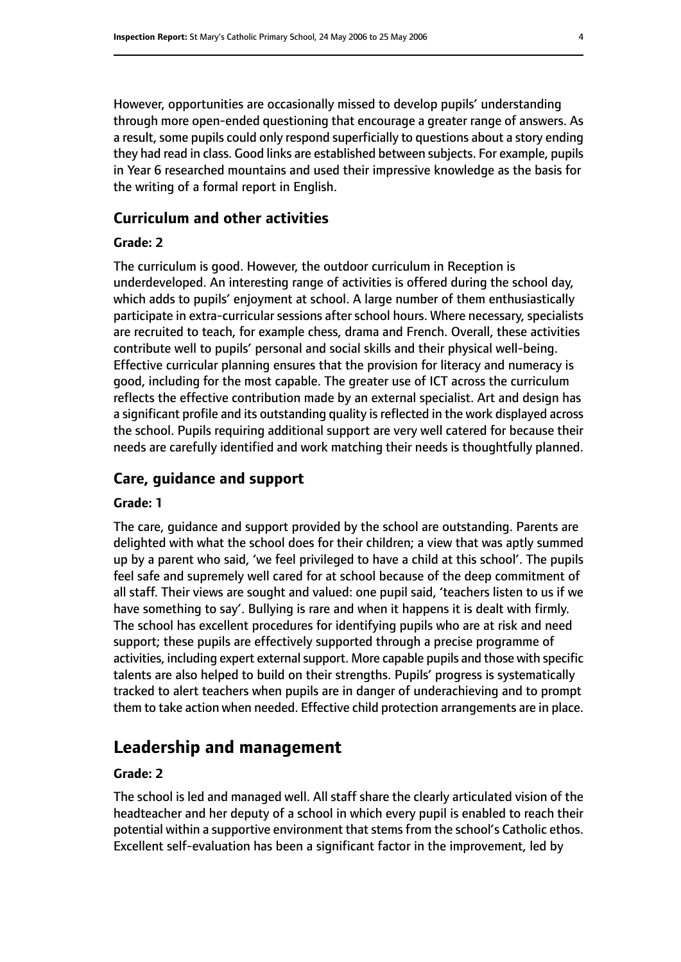However, opportunities are occasionally missed to develop pupils' understanding through more open-ended questioning that encourage a greater range of answers. As a result, some pupils could only respond superficially to questions about a story ending they had read in class. Good links are established between subjects. For example, pupils in Year 6 researched mountains and used their impressive knowledge as the basis for the writing of a formal report in English.

#### **Curriculum and other activities**

#### **Grade: 2**

The curriculum is good. However, the outdoor curriculum in Reception is underdeveloped. An interesting range of activities is offered during the school day, which adds to pupils' enjoyment at school. A large number of them enthusiastically participate in extra-curricular sessions after school hours. Where necessary, specialists are recruited to teach, for example chess, drama and French. Overall, these activities contribute well to pupils' personal and social skills and their physical well-being. Effective curricular planning ensures that the provision for literacy and numeracy is good, including for the most capable. The greater use of ICT across the curriculum reflects the effective contribution made by an external specialist. Art and design has a significant profile and its outstanding quality is reflected in the work displayed across the school. Pupils requiring additional support are very well catered for because their needs are carefully identified and work matching their needs is thoughtfully planned.

#### **Care, guidance and support**

#### **Grade: 1**

The care, guidance and support provided by the school are outstanding. Parents are delighted with what the school does for their children; a view that was aptly summed up by a parent who said, 'we feel privileged to have a child at this school'. The pupils feel safe and supremely well cared for at school because of the deep commitment of all staff. Their views are sought and valued: one pupil said, 'teachers listen to us if we have something to say'. Bullying is rare and when it happens it is dealt with firmly. The school has excellent procedures for identifying pupils who are at risk and need support; these pupils are effectively supported through a precise programme of activities, including expert external support. More capable pupils and those with specific talents are also helped to build on their strengths. Pupils' progress is systematically tracked to alert teachers when pupils are in danger of underachieving and to prompt them to take action when needed. Effective child protection arrangements are in place.

# **Leadership and management**

#### **Grade: 2**

The school is led and managed well. All staff share the clearly articulated vision of the headteacher and her deputy of a school in which every pupil is enabled to reach their potential within a supportive environment that stems from the school's Catholic ethos. Excellent self-evaluation has been a significant factor in the improvement, led by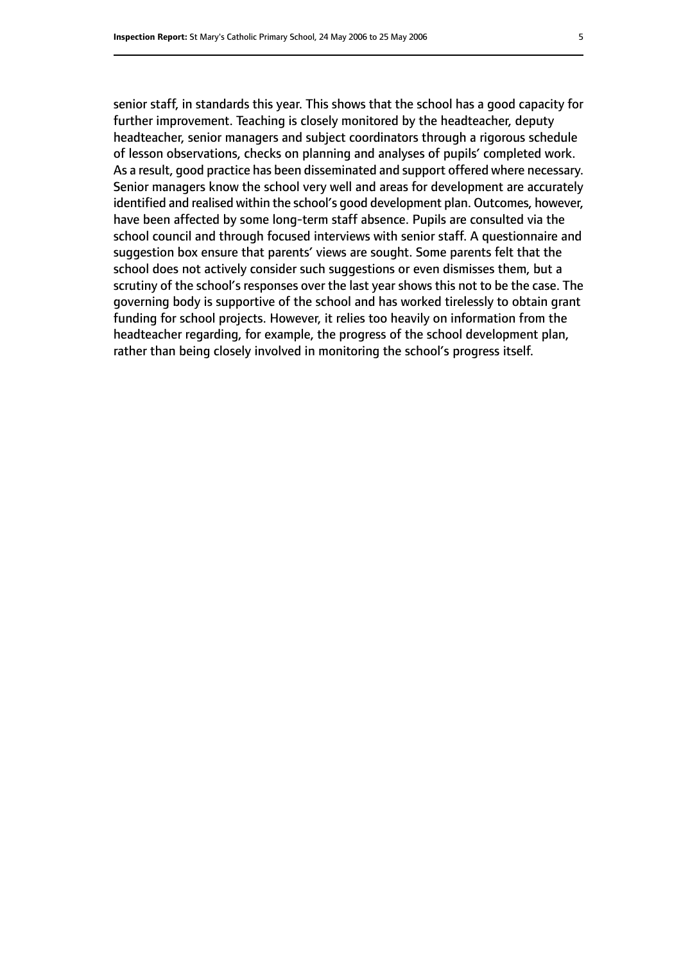senior staff, in standards this year. This shows that the school has a good capacity for further improvement. Teaching is closely monitored by the headteacher, deputy headteacher, senior managers and subject coordinators through a rigorous schedule of lesson observations, checks on planning and analyses of pupils' completed work. As a result, good practice has been disseminated and support offered where necessary. Senior managers know the school very well and areas for development are accurately identified and realised within the school's good development plan. Outcomes, however, have been affected by some long-term staff absence. Pupils are consulted via the school council and through focused interviews with senior staff. A questionnaire and suggestion box ensure that parents' views are sought. Some parents felt that the school does not actively consider such suggestions or even dismisses them, but a scrutiny of the school's responses over the last year shows this not to be the case. The governing body is supportive of the school and has worked tirelessly to obtain grant funding for school projects. However, it relies too heavily on information from the headteacher regarding, for example, the progress of the school development plan, rather than being closely involved in monitoring the school's progress itself.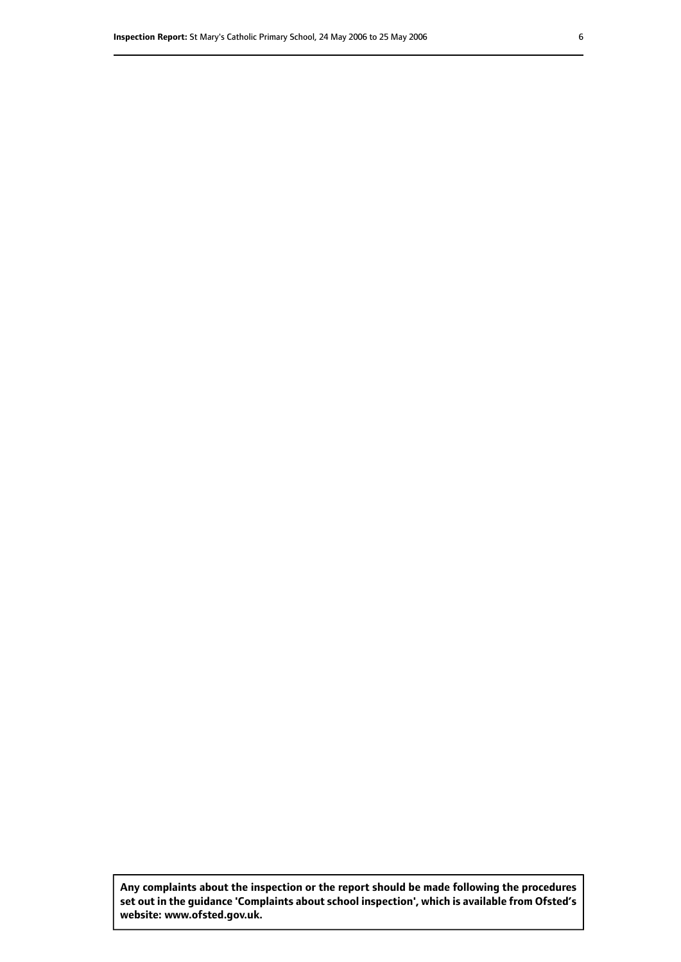**Any complaints about the inspection or the report should be made following the procedures set out inthe guidance 'Complaints about school inspection', whichis available from Ofsted's website: www.ofsted.gov.uk.**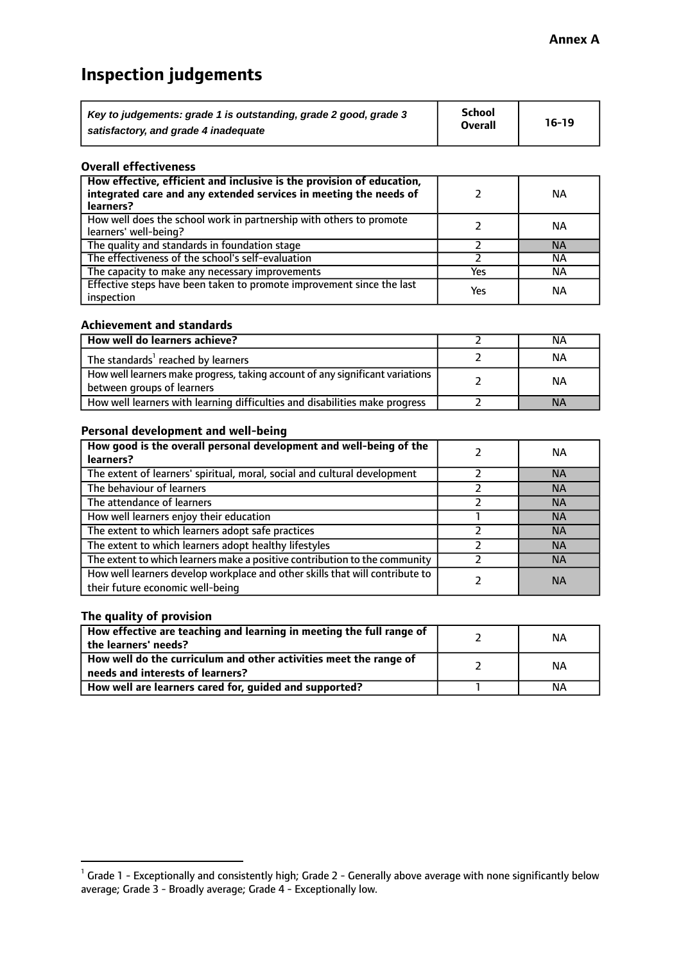# **Inspection judgements**

| Key to judgements: grade 1 is outstanding, grade 2 good, grade 3 | School         | $16-19$ |
|------------------------------------------------------------------|----------------|---------|
| satisfactory, and grade 4 inadequate                             | <b>Overall</b> |         |

#### **Overall effectiveness**

| How effective, efficient and inclusive is the provision of education,<br>integrated care and any extended services in meeting the needs of<br>learners? |     | NА        |
|---------------------------------------------------------------------------------------------------------------------------------------------------------|-----|-----------|
| How well does the school work in partnership with others to promote<br>learners' well-being?                                                            |     | NА        |
| The quality and standards in foundation stage                                                                                                           |     | <b>NA</b> |
| The effectiveness of the school's self-evaluation                                                                                                       |     | ΝA        |
| The capacity to make any necessary improvements                                                                                                         | Yes | NА        |
| Effective steps have been taken to promote improvement since the last<br>inspection                                                                     | Yes | ΝA        |

#### **Achievement and standards**

| How well do learners achieve?                                                                               | ΝA        |
|-------------------------------------------------------------------------------------------------------------|-----------|
| The standards <sup>1</sup> reached by learners                                                              | NА        |
| How well learners make progress, taking account of any significant variations<br>between groups of learners | <b>NA</b> |
| How well learners with learning difficulties and disabilities make progress                                 | <b>NA</b> |

#### **Personal development and well-being**

| How good is the overall personal development and well-being of the<br>learners?                                  | ΝA        |
|------------------------------------------------------------------------------------------------------------------|-----------|
| The extent of learners' spiritual, moral, social and cultural development                                        | <b>NA</b> |
| The behaviour of learners                                                                                        | <b>NA</b> |
| The attendance of learners                                                                                       | <b>NA</b> |
| How well learners enjoy their education                                                                          | <b>NA</b> |
| The extent to which learners adopt safe practices                                                                | <b>NA</b> |
| The extent to which learners adopt healthy lifestyles                                                            | <b>NA</b> |
| The extent to which learners make a positive contribution to the community                                       | <b>NA</b> |
| How well learners develop workplace and other skills that will contribute to<br>their future economic well-being | <b>NA</b> |

### **The quality of provision**

| How effective are teaching and learning in meeting the full range of<br>the learners' needs?          | ΝA |
|-------------------------------------------------------------------------------------------------------|----|
| How well do the curriculum and other activities meet the range of<br>needs and interests of learners? | ΝA |
| How well are learners cared for, guided and supported?                                                | NА |

 $^1$  Grade 1 - Exceptionally and consistently high; Grade 2 - Generally above average with none significantly below average; Grade 3 - Broadly average; Grade 4 - Exceptionally low.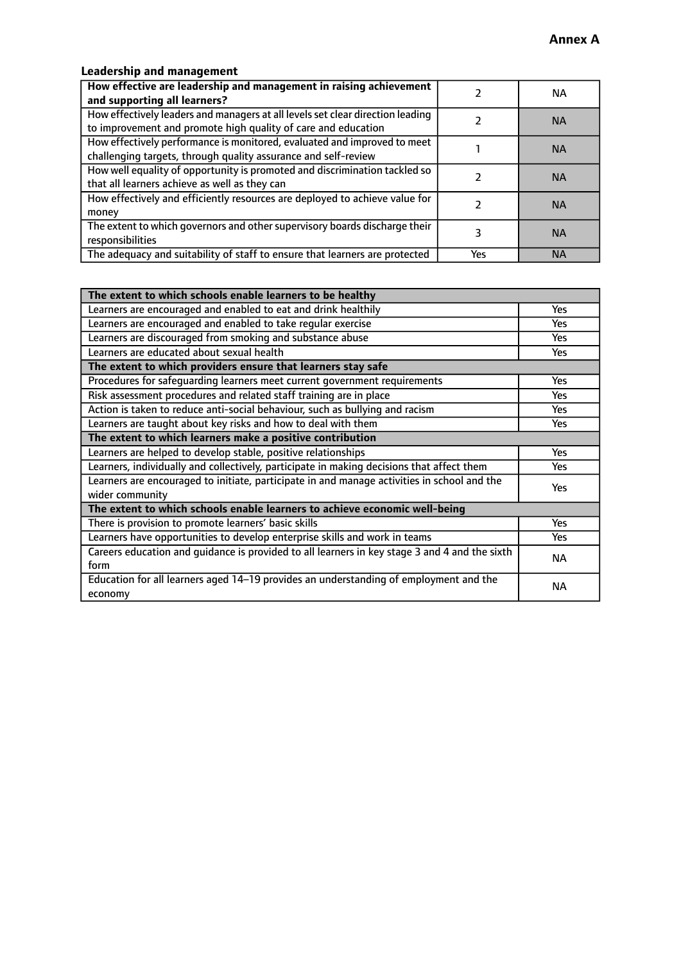# **Leadership and management**

| How effective are leadership and management in raising achievement<br>and supporting all learners?                                              |     | NA.       |
|-------------------------------------------------------------------------------------------------------------------------------------------------|-----|-----------|
| How effectively leaders and managers at all levels set clear direction leading<br>to improvement and promote high quality of care and education |     | <b>NA</b> |
| How effectively performance is monitored, evaluated and improved to meet<br>challenging targets, through quality assurance and self-review      |     | <b>NA</b> |
| How well equality of opportunity is promoted and discrimination tackled so<br>that all learners achieve as well as they can                     |     | <b>NA</b> |
| How effectively and efficiently resources are deployed to achieve value for<br>money                                                            |     | <b>NA</b> |
| The extent to which governors and other supervisory boards discharge their<br>responsibilities                                                  |     | <b>NA</b> |
| The adequacy and suitability of staff to ensure that learners are protected                                                                     | Yes | <b>NA</b> |

| The extent to which schools enable learners to be healthy                                     |            |
|-----------------------------------------------------------------------------------------------|------------|
| Learners are encouraged and enabled to eat and drink healthily                                | Yes        |
| Learners are encouraged and enabled to take regular exercise                                  | Yes        |
| Learners are discouraged from smoking and substance abuse                                     | <b>Yes</b> |
| Learners are educated about sexual health                                                     | <b>Yes</b> |
| The extent to which providers ensure that learners stay safe                                  |            |
| Procedures for safequarding learners meet current government requirements                     | Yes        |
| Risk assessment procedures and related staff training are in place                            | Yes        |
| Action is taken to reduce anti-social behaviour, such as bullying and racism                  | Yes        |
| Learners are taught about key risks and how to deal with them                                 | <b>Yes</b> |
| The extent to which learners make a positive contribution                                     |            |
| Learners are helped to develop stable, positive relationships                                 | Yes        |
| Learners, individually and collectively, participate in making decisions that affect them     | Yes        |
| Learners are encouraged to initiate, participate in and manage activities in school and the   | <b>Yes</b> |
| wider community                                                                               |            |
| The extent to which schools enable learners to achieve economic well-being                    |            |
| There is provision to promote learners' basic skills                                          | Yes        |
| Learners have opportunities to develop enterprise skills and work in teams                    | <b>Yes</b> |
| Careers education and guidance is provided to all learners in key stage 3 and 4 and the sixth | <b>NA</b>  |
| form                                                                                          |            |
| Education for all learners aged 14-19 provides an understanding of employment and the         | NА         |
| economy                                                                                       |            |